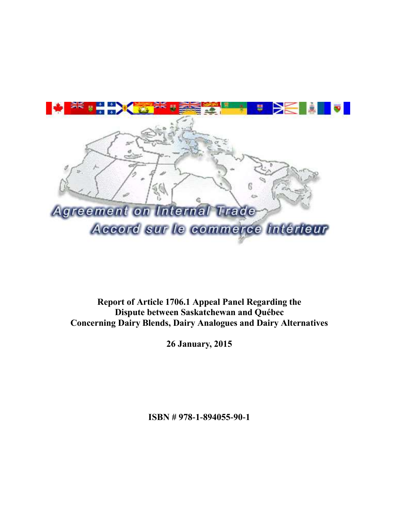

**Report of Article 1706.1 Appeal Panel Regarding the Dispute between Saskatchewan and Québec Concerning Dairy Blends, Dairy Analogues and Dairy Alternatives**

**26 January, 2015**

**ISBN # 978-1-894055-90-1**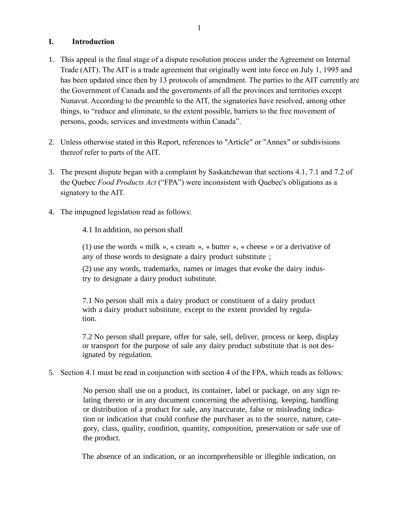# **I. Introduction**

- 1. This appeal is the final stage of a dispute resolution process under the Agreement on Internal Trade (AIT). The AIT is a trade agreement that originally went into force on July 1, 1995 and has been updated since then by 13 protocols of amendment. The parties to the AIT currently are the Government of Canada and the governments of all the provinces and territories except Nunavut. According to the preamble to the AIT, the signatories have resolved, among other things, to "reduce and eliminate, to the extent possible, barriers to the free movement of persons, goods, services and investments within Canada".
- 2. Unless otherwise stated in this Report, references to "Article" or "Annex" or subdivisions thereof refer to parts of the AIT.
- 3. The present dispute began with a complaint by Saskatchewan that sections 4.1, 7.1 and 7.2 of the Quebec *Food Products Act* ("FPA") were inconsistent with Quebec's obligations as a signatory to the AIT.
- 4. The impugned legislation read as follows:

4.1 In addition, no person shall

(1) use the words « milk », « cream », « butter », « cheese » or a derivative of any of those words to designate a dairy product substitute ;

(2) use any words, trademarks, names or images that evoke the dairy industry to designate a dairy product substitute.

7.1 No person shall mix a dairy product or constituent of a dairy product with a dairy product substitute, except to the extent provided by regulation.

7.2 No person shall prepare, offer for sale, sell, deliver, process or keep, display or transport for the purpose of sale any dairy product substitute that is not designated by regulation.

5. Section 4.1 must be read in conjunction with section 4 of the FPA, which reads as follows:

No person shall use on a product, its container, label or package, on any sign relating thereto or in any document concerning the advertising, keeping, handling or distribution of a product for sale, any inaccurate, false or misleading indication or indication that could confuse the purchaser as to the source, nature, category, class, quality, condition, quantity, composition, preservation or safe use of the product.

The absence of an indication, or an incomprehensible or illegible indication, on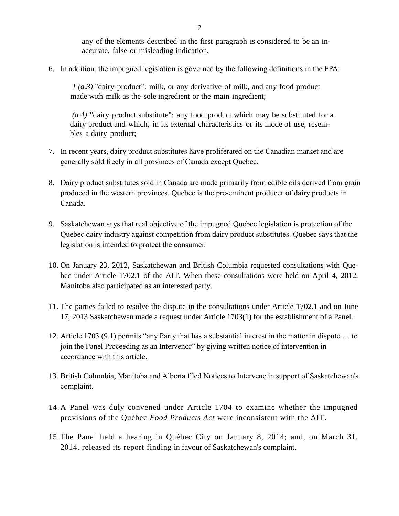any of the elements described in the first paragraph is considered to be an inaccurate, false or misleading indication.

6. In addition, the impugned legislation is governed by the following definitions in the FPA:

*1 (a.3)* "dairy product": milk, or any derivative of milk, and any food product made with milk as the sole ingredient or the main ingredient;

*(a.4)* "dairy product substitute": any food product which may be substituted for a dairy product and which, in its external characteristics or its mode of use, resembles a dairy product;

- 7. In recent years, dairy product substitutes have proliferated on the Canadian market and are generally sold freely in all provinces of Canada except Quebec.
- 8. Dairy product substitutes sold in Canada are made primarily from edible oils derived from grain produced in the western provinces. Quebec is the pre-eminent producer of dairy products in Canada.
- 9. Saskatchewan says that real objective of the impugned Quebec legislation is protection of the Quebec dairy industry against competition from dairy product substitutes. Quebec says that the legislation is intended to protect the consumer.
- 10. On January 23, 2012, Saskatchewan and British Columbia requested consultations with Quebec under Article 1702.1 of the AIT. When these consultations were held on April 4, 2012, Manitoba also participated as an interested party.
- 11. The parties failed to resolve the dispute in the consultations under Article 1702.1 and on June 17, 2013 Saskatchewan made a request under Article 1703(1) for the establishment of a Panel.
- 12. Article 1703 (9.1) permits "any Party that has a substantial interest in the matter in dispute … to join the Panel Proceeding as an Intervenor" by giving written notice of intervention in accordance with this article.
- 13. British Columbia, Manitoba and Alberta filed Notices to Intervene in support of Saskatchewan's complaint.
- 14. A Panel was duly convened under Article 1704 to examine whether the impugned provisions of the Québec *Food Products Act* were inconsistent with the AIT.
- 15.The Panel held a hearing in Québec City on January 8, 2014; and, on March 31, 2014, released its report finding in favour of Saskatchewan's complaint.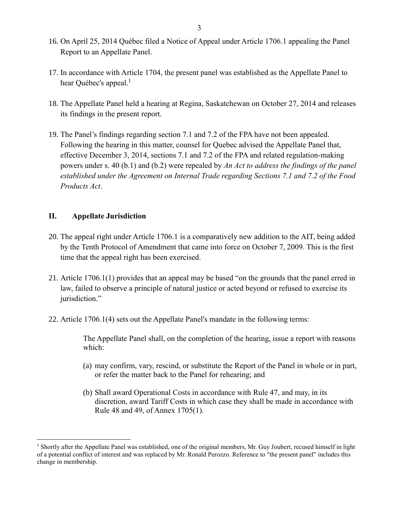- 16. On April 25, 2014 Québec filed a Notice of Appeal under Article 1706.1 appealing the Panel Report to an Appellate Panel.
- 17. In accordance with Article 1704, the present panel was established as the Appellate Panel to hear Québec's appeal.<sup>1</sup>
- 18. The Appellate Panel held a hearing at Regina, Saskatchewan on October 27, 2014 and releases its findings in the present report.
- 19. The Panel's findings regarding section 7.1 and 7.2 of the FPA have not been appealed. Following the hearing in this matter, counsel for Quebec advised the Appellate Panel that, effective December 3, 2014, sections 7.1 and 7.2 of the FPA and related regulation-making powers under s. 40 (b.1) and (b.2) were repealed by *An Act to address the findings of the panel established under the Agreement on Internal Trade regarding Sections 7.1 and 7.2 of the Food Products Act*.

## **II. Appellate Jurisdiction**

 $\overline{a}$ 

- 20. The appeal right under Article 1706.1 is a comparatively new addition to the AIT, being added by the Tenth Protocol of Amendment that came into force on October 7, 2009. This is the first time that the appeal right has been exercised.
- 21. Article 1706.1(1) provides that an appeal may be based "on the grounds that the panel erred in law, failed to observe a principle of natural justice or acted beyond or refused to exercise its jurisdiction."
- 22. Article 1706.1(4) sets out the Appellate Panel's mandate in the following terms:

The Appellate Panel shall, on the completion of the hearing, issue a report with reasons which:

- (a) may confirm, vary, rescind, or substitute the Report of the Panel in whole or in part, or refer the matter back to the Panel for rehearing; and
- (b) Shall award Operational Costs in accordance with Rule 47, and may, in its discretion, award Tariff Costs in which case they shall be made in accordance with Rule 48 and 49, of Annex 1705(1).

<sup>&</sup>lt;sup>1</sup> Shortly after the Appellate Panel was established, one of the original members, Mr. Guy Joubert, recused himself in light of a potential conflict of interest and was replaced by Mr. Ronald Perozzo. Reference to "the present panel" includes this change in membership.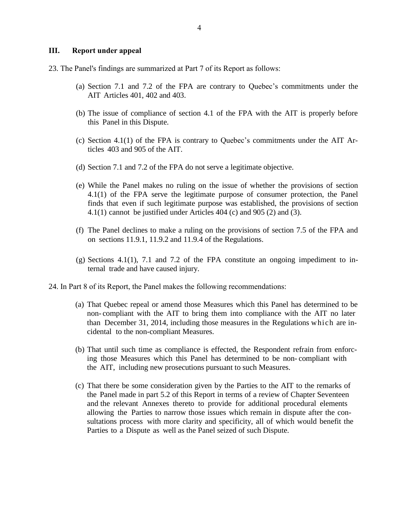#### **III. Report under appeal**

- 23. The Panel's findings are summarized at Part 7 of its Report as follows:
	- (a) Section 7.1 and 7.2 of the FPA are contrary to Quebec's commitments under the AIT Articles 401, 402 and 403.
	- (b) The issue of compliance of section 4.1 of the FPA with the AIT is properly before this Panel in this Dispute.
	- (c) Section 4.1(1) of the FPA is contrary to Quebec's commitments under the AIT Articles 403 and 905 of the AIT.
	- (d) Section 7.1 and 7.2 of the FPA do not serve a legitimate objective.
	- (e) While the Panel makes no ruling on the issue of whether the provisions of section 4.1(1) of the FPA serve the legitimate purpose of consumer protection, the Panel finds that even if such legitimate purpose was established, the provisions of section 4.1(1) cannot be justified under Articles 404 (c) and 905 (2) and (3).
	- (f) The Panel declines to make a ruling on the provisions of section 7.5 of the FPA and on sections 11.9.1, 11.9.2 and 11.9.4 of the Regulations.
	- (g) Sections 4.1(1), 7.1 and 7.2 of the FPA constitute an ongoing impediment to internal trade and have caused injury.
- 24. In Part 8 of its Report, the Panel makes the following recommendations:
	- (a) That Quebec repeal or amend those Measures which this Panel has determined to be non- compliant with the AIT to bring them into compliance with the AIT no later than December 31, 2014, including those measures in the Regulations which are incidental to the non-compliant Measures.
	- (b) That until such time as compliance is effected, the Respondent refrain from enforcing those Measures which this Panel has determined to be non- compliant with the AIT, including new prosecutions pursuant to such Measures.
	- (c) That there be some consideration given by the Parties to the AIT to the remarks of the Panel made in part 5.2 of this Report in terms of a review of Chapter Seventeen and the relevant Annexes thereto to provide for additional procedural elements allowing the Parties to narrow those issues which remain in dispute after the consultations process with more clarity and specificity, all of which would benefit the Parties to a Dispute as well as the Panel seized of such Dispute.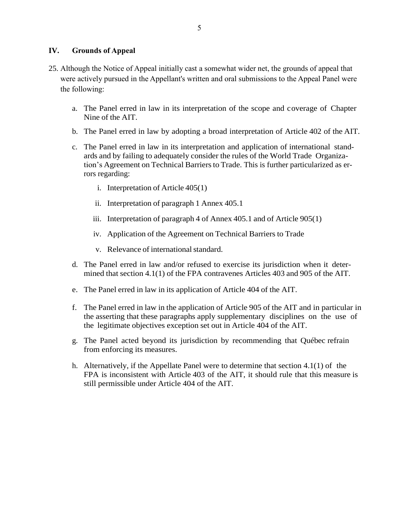## **IV. Grounds of Appeal**

- 25. Although the Notice of Appeal initially cast a somewhat wider net, the grounds of appeal that were actively pursued in the Appellant's written and oral submissions to the Appeal Panel were the following:
	- a. The Panel erred in law in its interpretation of the scope and coverage of Chapter Nine of the AIT.
	- b. The Panel erred in law by adopting a broad interpretation of Article 402 of the AIT.
	- c. The Panel erred in law in its interpretation and application of international standards and by failing to adequately consider the rules of the World Trade Organization's Agreement on Technical Barriers to Trade. This is further particularized as errors regarding:
		- i. Interpretation of Article 405(1)
		- ii. Interpretation of paragraph 1 Annex 405.1
		- iii. Interpretation of paragraph 4 of Annex 405.1 and of Article 905(1)
		- iv. Application of the Agreement on Technical Barriers to Trade
		- v. Relevance of internationalstandard.
	- d. The Panel erred in law and/or refused to exercise its jurisdiction when it determined that section 4.1(1) of the FPA contravenes Articles 403 and 905 of the AIT.
	- e. The Panel erred in law in its application of Article 404 of the AIT.
	- f. The Panel erred in law in the application of Article 905 of the AIT and in particular in the asserting that these paragraphs apply supplementary disciplines on the use of the legitimate objectives exception set out in Article 404 of the AIT.
	- g. The Panel acted beyond its jurisdiction by recommending that Québec refrain from enforcing its measures.
	- h. Alternatively, if the Appellate Panel were to determine that section 4.1(1) of the FPA is inconsistent with Article 403 of the AIT, it should rule that this measure is still permissible under Article 404 of the AIT.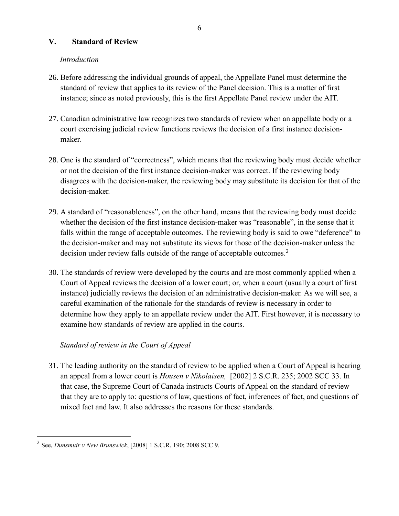## **V. Standard of Review**

## *Introduction*

- 26. Before addressing the individual grounds of appeal, the Appellate Panel must determine the standard of review that applies to its review of the Panel decision. This is a matter of first instance; since as noted previously, this is the first Appellate Panel review under the AIT.
- 27. Canadian administrative law recognizes two standards of review when an appellate body or a court exercising judicial review functions reviews the decision of a first instance decisionmaker.
- 28. One is the standard of "correctness", which means that the reviewing body must decide whether or not the decision of the first instance decision-maker was correct. If the reviewing body disagrees with the decision-maker, the reviewing body may substitute its decision for that of the decision-maker.
- 29. A standard of "reasonableness", on the other hand, means that the reviewing body must decide whether the decision of the first instance decision-maker was "reasonable", in the sense that it falls within the range of acceptable outcomes. The reviewing body is said to owe "deference" to the decision-maker and may not substitute its views for those of the decision-maker unless the decision under review falls outside of the range of acceptable outcomes.<sup>2</sup>
- 30. The standards of review were developed by the courts and are most commonly applied when a Court of Appeal reviews the decision of a lower court; or, when a court (usually a court of first instance) judicially reviews the decision of an administrative decision-maker. As we will see, a careful examination of the rationale for the standards of review is necessary in order to determine how they apply to an appellate review under the AIT. First however, it is necessary to examine how standards of review are applied in the courts.

## *Standard of review in the Court of Appeal*

31. The leading authority on the standard of review to be applied when a Court of Appeal is hearing an appeal from a lower court is *Housen v Nikolaisen,* [2002] 2 S.C.R. 235; 2002 SCC 33. In that case, the Supreme Court of Canada instructs Courts of Appeal on the standard of review that they are to apply to: questions of law, questions of fact, inferences of fact, and questions of mixed fact and law. It also addresses the reasons for these standards.

<sup>2</sup> See, *Dunsmuir v New Brunswick*, [2008] 1 S.C.R. 190; 2008 SCC 9.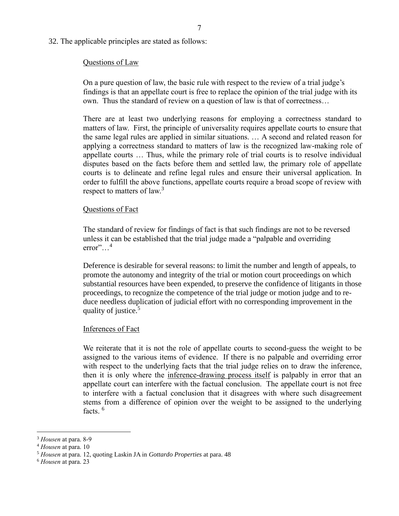32. The applicable principles are stated as follows:

#### Questions of Law

On a pure question of law, the basic rule with respect to the review of a trial judge's findings is that an appellate court is free to replace the opinion of the trial judge with its own. Thus the standard of review on a question of law is that of correctness…

There are at least two underlying reasons for employing a correctness standard to matters of law. First, the principle of universality requires appellate courts to ensure that the same legal rules are applied in similar situations. … A second and related reason for applying a correctness standard to matters of law is the recognized law-making role of appellate courts … Thus, while the primary role of trial courts is to resolve individual disputes based on the facts before them and settled law, the primary role of appellate courts is to delineate and refine legal rules and ensure their universal application. In order to fulfill the above functions, appellate courts require a broad scope of review with respect to matters of law.<sup>3</sup>

#### Questions of Fact

The standard of review for findings of fact is that such findings are not to be reversed unless it can be established that the trial judge made a "palpable and overriding error"…<sup>4</sup>

Deference is desirable for several reasons: to limit the number and length of appeals, to promote the autonomy and integrity of the trial or motion court proceedings on which substantial resources have been expended, to preserve the confidence of litigants in those proceedings, to recognize the competence of the trial judge or motion judge and to reduce needless duplication of judicial effort with no corresponding improvement in the quality of justice.<sup>5</sup>

#### Inferences of Fact

We reiterate that it is not the role of appellate courts to second-guess the weight to be assigned to the various items of evidence. If there is no palpable and overriding error with respect to the underlying facts that the trial judge relies on to draw the inference, then it is only where the inference-drawing process itself is palpably in error that an appellate court can interfere with the factual conclusion. The appellate court is not free to interfere with a factual conclusion that it disagrees with where such disagreement stems from a difference of opinion over the weight to be assigned to the underlying facts.<sup>6</sup>

<sup>3</sup> *Housen* at para. 8-9

<sup>4</sup> *Housen* at para. 10

<sup>5</sup> *Housen* at para. 12, quoting Laskin JA in *Gottardo Properties* at para. 48

<sup>6</sup> *Housen* at para. 23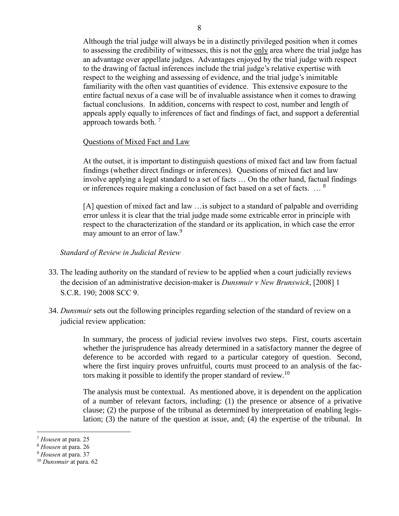Although the trial judge will always be in a distinctly privileged position when it comes to assessing the credibility of witnesses, this is not the only area where the trial judge has an advantage over appellate judges. Advantages enjoyed by the trial judge with respect to the drawing of factual inferences include the trial judge's relative expertise with respect to the weighing and assessing of evidence, and the trial judge's inimitable familiarity with the often vast quantities of evidence. This extensive exposure to the entire factual nexus of a case will be of invaluable assistance when it comes to drawing factual conclusions. In addition, concerns with respect to cost, number and length of appeals apply equally to inferences of fact and findings of fact, and support a deferential approach towards both. <sup>7</sup>

### Questions of Mixed Fact and Law

At the outset, it is important to distinguish questions of mixed fact and law from factual findings (whether direct findings or inferences). Questions of mixed fact and law involve applying a legal standard to a set of facts … On the other hand, factual findings or inferences require making a conclusion of fact based on a set of facts. … <sup>8</sup>

[A] question of mixed fact and law ... is subject to a standard of palpable and overriding error unless it is clear that the trial judge made some extricable error in principle with respect to the characterization of the standard or its application, in which case the error may amount to an error of law.<sup>9</sup>

#### *Standard of Review in Judicial Review*

- 33. The leading authority on the standard of review to be applied when a court judicially reviews the decision of an administrative decision-maker is *Dunsmuir v New Brunswick*, [2008] 1 S.C.R. 190; 2008 SCC 9.
- 34. *Dunsmuir* sets out the following principles regarding selection of the standard of review on a judicial review application:

In summary, the process of judicial review involves two steps. First, courts ascertain whether the jurisprudence has already determined in a satisfactory manner the degree of deference to be accorded with regard to a particular category of question. Second, where the first inquiry proves unfruitful, courts must proceed to an analysis of the factors making it possible to identify the proper standard of review.<sup>10</sup>

The analysis must be contextual. As mentioned above, it is dependent on the application of a number of relevant factors, including: (1) the presence or absence of a privative clause; (2) the purpose of the tribunal as determined by interpretation of enabling legislation; (3) the nature of the question at issue, and; (4) the expertise of the tribunal. In

<sup>7</sup> *Housen* at para. 25

<sup>8</sup> *Housen* at para. 26

<sup>9</sup> *Housen* at para. 37

<sup>10</sup> *Dunsmuir* at para. 62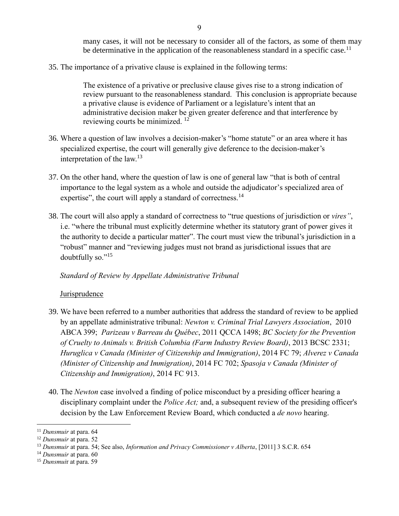many cases, it will not be necessary to consider all of the factors, as some of them may be determinative in the application of the reasonableness standard in a specific case.<sup>11</sup>

35. The importance of a privative clause is explained in the following terms:

The existence of a privative or preclusive clause gives rise to a strong indication of review pursuant to the reasonableness standard. This conclusion is appropriate because a privative clause is evidence of Parliament or a legislature's intent that an administrative decision maker be given greater deference and that interference by reviewing courts be minimized. <sup>12</sup>

- 36. Where a question of law involves a decision-maker's "home statute" or an area where it has specialized expertise, the court will generally give deference to the decision-maker's interpretation of the law.<sup>13</sup>
- 37. On the other hand, where the question of law is one of general law "that is both of central importance to the legal system as a whole and outside the adjudicator's specialized area of expertise", the court will apply a standard of correctness.<sup>14</sup>
- 38. The court will also apply a standard of correctness to "true questions of jurisdiction or *vires"*, i.e. "where the tribunal must explicitly determine whether its statutory grant of power gives it the authority to decide a particular matter". The court must view the tribunal's jurisdiction in a "robust" manner and "reviewing judges must not brand as jurisdictional issues that are doubtfully so."<sup>15</sup>

### *Standard of Review by Appellate Administrative Tribunal*

### Jurisprudence

- 39. We have been referred to a number authorities that address the standard of review to be applied by an appellate administrative tribunal: *Newton v. Criminal Trial Lawyers Association*, 2010 ABCA 399; *Parizeau v Barreau du Québec*, 2011 QCCA 1498; *BC Society for the Prevention of Cruelty to Animals v. British Columbia (Farm Industry Review Board)*, 2013 BCSC 2331; *Huruglica v Canada (Minister of Citizenship and Immigration)*, 2014 FC 79; *Alverez v Canada (Minister of Citizenship and Immigration)*, 2014 FC 702; *Spasoja v Canada (Minister of Citizenship and Immigration)*, 2014 FC 913.
- 40. The *Newton* case involved a finding of police misconduct by a presiding officer hearing a disciplinary complaint under the *Police Act;* and, a subsequent review of the presiding officer's decision by the Law Enforcement Review Board, which conducted a *de novo* hearing.

<sup>11</sup> *Dunsmuir* at para. 64

<sup>12</sup> *Dunsmuir* at para. 52

<sup>13</sup> *Dunsmuir* at para. 54; See also, *Information and Privacy Commissioner v Alberta*, [2011] 3 S.C.R. 654

<sup>14</sup> *Dunsmuir* at para. 60

<sup>15</sup> *Dunsmui*r at para. 59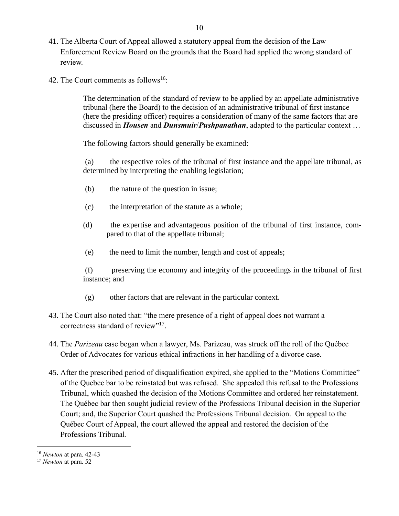- 41. The Alberta Court of Appeal allowed a statutory appeal from the decision of the Law Enforcement Review Board on the grounds that the Board had applied the wrong standard of review.
- 42. The Court comments as follows<sup>16</sup>:

The determination of the standard of review to be applied by an appellate administrative tribunal (here the Board) to the decision of an administrative tribunal of first instance (here the presiding officer) requires a consideration of many of the same factors that are discussed in *Housen* and *Dunsmuir*/*Pushpanathan*, adapted to the particular context …

The following factors should generally be examined:

(a) the respective roles of the tribunal of first instance and the appellate tribunal, as determined by interpreting the enabling legislation;

- (b) the nature of the question in issue;
- (c) the interpretation of the statute as a whole;
- (d) the expertise and advantageous position of the tribunal of first instance, compared to that of the appellate tribunal;
- (e) the need to limit the number, length and cost of appeals;

(f) preserving the economy and integrity of the proceedings in the tribunal of first instance; and

- (g) other factors that are relevant in the particular context.
- 43. The Court also noted that: "the mere presence of a right of appeal does not warrant a correctness standard of review"<sup>17</sup>.
- 44. The *Parizeau* case began when a lawyer, Ms. Parizeau, was struck off the roll of the Québec Order of Advocates for various ethical infractions in her handling of a divorce case.
- 45. After the prescribed period of disqualification expired, she applied to the "Motions Committee" of the Quebec bar to be reinstated but was refused. She appealed this refusal to the Professions Tribunal, which quashed the decision of the Motions Committee and ordered her reinstatement. The Québec bar then sought judicial review of the Professions Tribunal decision in the Superior Court; and, the Superior Court quashed the Professions Tribunal decision. On appeal to the Québec Court of Appeal, the court allowed the appeal and restored the decision of the Professions Tribunal.

<sup>16</sup> *Newton* at para. 42-43

<sup>17</sup> *Newton* at para. 52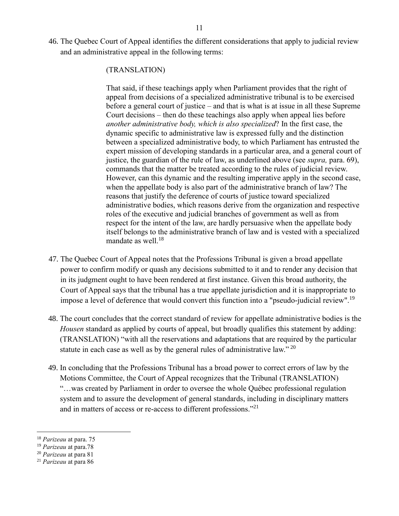46. The Quebec Court of Appeal identifies the different considerations that apply to judicial review and an administrative appeal in the following terms:

## (TRANSLATION)

That said, if these teachings apply when Parliament provides that the right of appeal from decisions of a specialized administrative tribunal is to be exercised before a general court of justice – and that is what is at issue in all these Supreme Court decisions – then do these teachings also apply when appeal lies before *another administrative body, which is also specialized*? In the first case, the dynamic specific to administrative law is expressed fully and the distinction between a specialized administrative body, to which Parliament has entrusted the expert mission of developing standards in a particular area, and a general court of justice, the guardian of the rule of law, as underlined above (see *supra,* para. 69), commands that the matter be treated according to the rules of judicial review. However, can this dynamic and the resulting imperative apply in the second case, when the appellate body is also part of the administrative branch of law? The reasons that justify the deference of courts of justice toward specialized administrative bodies, which reasons derive from the organization and respective roles of the executive and judicial branches of government as well as from respect for the intent of the law, are hardly persuasive when the appellate body itself belongs to the administrative branch of law and is vested with a specialized mandate as well. $18$ 

- 47. The Quebec Court of Appeal notes that the Professions Tribunal is given a broad appellate power to confirm modify or quash any decisions submitted to it and to render any decision that in its judgment ought to have been rendered at first instance. Given this broad authority, the Court of Appeal says that the tribunal has a true appellate jurisdiction and it is inappropriate to impose a level of deference that would convert this function into a "pseudo-judicial review".<sup>19</sup>
- 48. The court concludes that the correct standard of review for appellate administrative bodies is the *Housen* standard as applied by courts of appeal, but broadly qualifies this statement by adding: (TRANSLATION) "with all the reservations and adaptations that are required by the particular statute in each case as well as by the general rules of administrative law." <sup>20</sup>
- 49. In concluding that the Professions Tribunal has a broad power to correct errors of law by the Motions Committee, the Court of Appeal recognizes that the Tribunal (TRANSLATION) "…was created by Parliament in order to oversee the whole Québec professional regulation system and to assure the development of general standards, including in disciplinary matters and in matters of access or re-access to different professions." 21

<sup>18</sup> *Parizeau* at para. 75

<sup>19</sup> *Parizeau* at para.78

<sup>20</sup> *Parizeau* at para 81

<sup>21</sup> *Parizeau* at para 86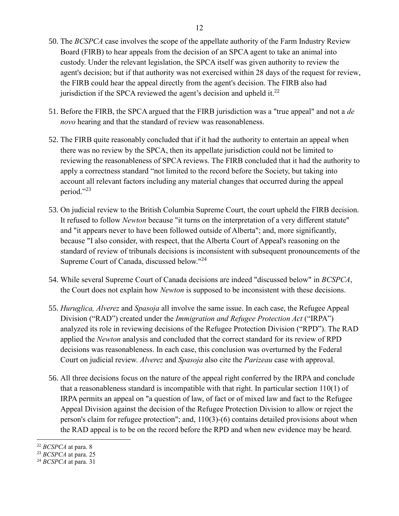- 50. The *BCSPCA* case involves the scope of the appellate authority of the Farm Industry Review Board (FIRB) to hear appeals from the decision of an SPCA agent to take an animal into custody. Under the relevant legislation, the SPCA itself was given authority to review the agent's decision; but if that authority was not exercised within 28 days of the request for review, the FIRB could hear the appeal directly from the agent's decision. The FIRB also had jurisdiction if the SPCA reviewed the agent's decision and upheld it. $^{22}$
- 51. Before the FIRB, the SPCA argued that the FIRB jurisdiction was a "true appeal" and not a *de novo* hearing and that the standard of review was reasonableness.
- 52. The FIRB quite reasonably concluded that if it had the authority to entertain an appeal when there was no review by the SPCA, then its appellate jurisdiction could not be limited to reviewing the reasonableness of SPCA reviews. The FIRB concluded that it had the authority to apply a correctness standard "not limited to the record before the Society, but taking into account all relevant factors including any material changes that occurred during the appeal period."<sup>23</sup>
- 53. On judicial review to the British Columbia Supreme Court, the court upheld the FIRB decision. It refused to follow *Newton* because "it turns on the interpretation of a very different statute" and "it appears never to have been followed outside of Alberta"; and, more significantly, because "I also consider, with respect, that the Alberta Court of Appeal's reasoning on the standard of review of tribunals decisions is inconsistent with subsequent pronouncements of the Supreme Court of Canada, discussed below."<sup>24</sup>
- 54. While several Supreme Court of Canada decisions are indeed "discussed below" in *BCSPCA*, the Court does not explain how *Newton* is supposed to be inconsistent with these decisions.
- 55. *Huruglica, Alverez* and *Spasoja* all involve the same issue. In each case, the Refugee Appeal Division ("RAD") created under the *Immigration and Refugee Protection Act* ("IRPA") analyzed its role in reviewing decisions of the Refugee Protection Division ("RPD"). The RAD applied the *Newton* analysis and concluded that the correct standard for its review of RPD decisions was reasonableness. In each case, this conclusion was overturned by the Federal Court on judicial review. *Alverez* and *Spasoja* also cite the *Parizeau* case with approval.
- 56. All three decisions focus on the nature of the appeal right conferred by the IRPA and conclude that a reasonableness standard is incompatible with that right. In particular section 110(1) of IRPA permits an appeal on "a question of law, of fact or of mixed law and fact to the Refugee Appeal Division against the decision of the Refugee Protection Division to allow or reject the person's claim for refugee protection"; and, 110(3)-(6) contains detailed provisions about when the RAD appeal is to be on the record before the RPD and when new evidence may be heard.

<sup>22</sup> *BCSPCA* at para. 8

<sup>23</sup> *BCSPCA* at para. 25

<sup>24</sup> *BCSPCA* at para. 31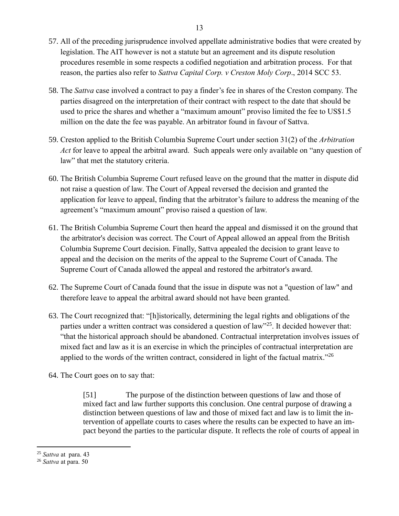- 57. All of the preceding jurisprudence involved appellate administrative bodies that were created by legislation. The AIT however is not a statute but an agreement and its dispute resolution procedures resemble in some respects a codified negotiation and arbitration process. For that reason, the parties also refer to *Sattva Capital Corp. v Creston Moly Corp*., 2014 SCC 53.
- 58. The *Sattva* case involved a contract to pay a finder's fee in shares of the Creston company. The parties disagreed on the interpretation of their contract with respect to the date that should be used to price the shares and whether a "maximum amount" proviso limited the fee to US\$1.5 million on the date the fee was payable. An arbitrator found in favour of Sattva.
- 59. Creston applied to the British Columbia Supreme Court under section 31(2) of the *Arbitration Act* for leave to appeal the arbitral award. Such appeals were only available on "any question of law" that met the statutory criteria.
- 60. The British Columbia Supreme Court refused leave on the ground that the matter in dispute did not raise a question of law. The Court of Appeal reversed the decision and granted the application for leave to appeal, finding that the arbitrator's failure to address the meaning of the agreement's "maximum amount" proviso raised a question of law.
- 61. The British Columbia Supreme Court then heard the appeal and dismissed it on the ground that the arbitrator's decision was correct. The Court of Appeal allowed an appeal from the British Columbia Supreme Court decision. Finally, Sattva appealed the decision to grant leave to appeal and the decision on the merits of the appeal to the Supreme Court of Canada. The Supreme Court of Canada allowed the appeal and restored the arbitrator's award.
- 62. The Supreme Court of Canada found that the issue in dispute was not a "question of law" and therefore leave to appeal the arbitral award should not have been granted.
- 63. The Court recognized that: "[h]istorically, determining the legal rights and obligations of the parties under a written contract was considered a question of law"<sup>25</sup>. It decided however that: "that the historical approach should be abandoned. Contractual interpretation involves issues of mixed fact and law as it is an exercise in which the principles of contractual interpretation are applied to the words of the written contract, considered in light of the factual matrix."<sup>26</sup>
- 64. The Court goes on to say that:

[51] The purpose of the distinction between questions of law and those of mixed fact and law further supports this conclusion. One central purpose of drawing a distinction between questions of law and those of mixed fact and law is to limit the intervention of appellate courts to cases where the results can be expected to have an impact beyond the parties to the particular dispute. It reflects the role of courts of appeal in

<sup>25</sup> *Sattva* at para. 43

<sup>26</sup> *Sattva* at para. 50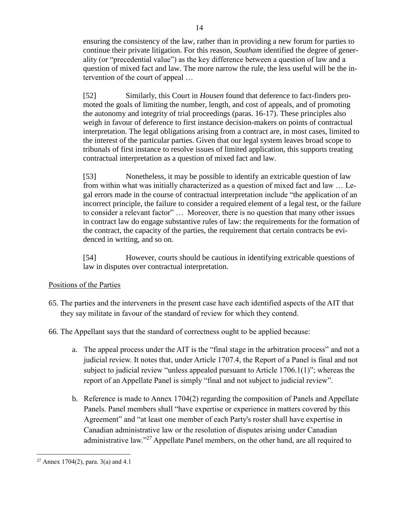ensuring the consistency of the law, rather than in providing a new forum for parties to continue their private litigation. For this reason, *Southam* identified the degree of generality (or "precedential value") as the key difference between a question of law and a question of mixed fact and law. The more narrow the rule, the less useful will be the intervention of the court of appeal …

[52] Similarly, this Court in *Housen* found that deference to fact-finders promoted the goals of limiting the number, length, and cost of appeals, and of promoting the autonomy and integrity of trial proceedings (paras. 16-17). These principles also weigh in favour of deference to first instance decision-makers on points of contractual interpretation. The legal obligations arising from a contract are, in most cases, limited to the interest of the particular parties. Given that our legal system leaves broad scope to tribunals of first instance to resolve issues of limited application, this supports treating contractual interpretation as a question of mixed fact and law.

[53] Nonetheless, it may be possible to identify an extricable question of law from within what was initially characterized as a question of mixed fact and law … Legal errors made in the course of contractual interpretation include "the application of an incorrect principle, the failure to consider a required element of a legal test, or the failure to consider a relevant factor" … Moreover, there is no question that many other issues in contract law do engage substantive rules of law: the requirements for the formation of the contract, the capacity of the parties, the requirement that certain contracts be evidenced in writing, and so on.

[54] However, courts should be cautious in identifying extricable questions of law in disputes over contractual interpretation.

## Positions of the Parties

- 65. The parties and the interveners in the present case have each identified aspects of the AIT that they say militate in favour of the standard of review for which they contend.
- 66. The Appellant says that the standard of correctness ought to be applied because:
	- a. The appeal process under the AIT is the "final stage in the arbitration process" and not a judicial review. It notes that, under Article 1707.4, the Report of a Panel is final and not subject to judicial review "unless appealed pursuant to Article 1706.1(1)"; whereas the report of an Appellate Panel is simply "final and not subject to judicial review".
	- b. Reference is made to Annex 1704(2) regarding the composition of Panels and Appellate Panels. Panel members shall "have expertise or experience in matters covered by this Agreement" and "at least one member of each Party's roster shall have expertise in Canadian administrative law or the resolution of disputes arising under Canadian administrative law."<sup>27</sup> Appellate Panel members, on the other hand, are all required to

<sup>&</sup>lt;sup>27</sup> Annex 1704(2), para. 3(a) and 4.1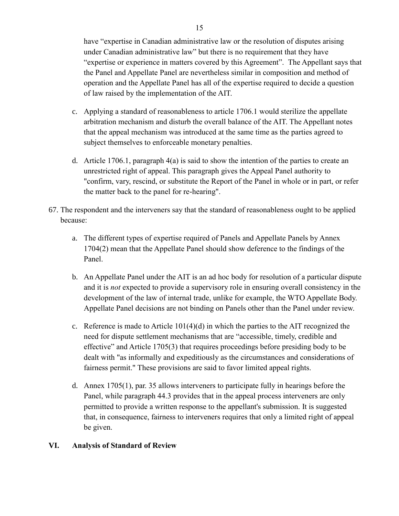have "expertise in Canadian administrative law or the resolution of disputes arising under Canadian administrative law" but there is no requirement that they have "expertise or experience in matters covered by this Agreement". The Appellant says that the Panel and Appellate Panel are nevertheless similar in composition and method of operation and the Appellate Panel has all of the expertise required to decide a question of law raised by the implementation of the AIT.

- c. Applying a standard of reasonableness to article 1706.1 would sterilize the appellate arbitration mechanism and disturb the overall balance of the AIT. The Appellant notes that the appeal mechanism was introduced at the same time as the parties agreed to subject themselves to enforceable monetary penalties.
- d. Article 1706.1, paragraph 4(a) is said to show the intention of the parties to create an unrestricted right of appeal. This paragraph gives the Appeal Panel authority to "confirm, vary, rescind, or substitute the Report of the Panel in whole or in part, or refer the matter back to the panel for re-hearing".
- 67. The respondent and the interveners say that the standard of reasonableness ought to be applied because:
	- a. The different types of expertise required of Panels and Appellate Panels by Annex 1704(2) mean that the Appellate Panel should show deference to the findings of the Panel.
	- b. An Appellate Panel under the AIT is an ad hoc body for resolution of a particular dispute and it is *not* expected to provide a supervisory role in ensuring overall consistency in the development of the law of internal trade, unlike for example, the WTO Appellate Body. Appellate Panel decisions are not binding on Panels other than the Panel under review.
	- c. Reference is made to Article  $101(4)(d)$  in which the parties to the AIT recognized the need for dispute settlement mechanisms that are "accessible, timely, credible and effective" and Article 1705(3) that requires proceedings before presiding body to be dealt with "as informally and expeditiously as the circumstances and considerations of fairness permit." These provisions are said to favor limited appeal rights.
	- d. Annex 1705(1), par. 35 allows interveners to participate fully in hearings before the Panel, while paragraph 44.3 provides that in the appeal process interveners are only permitted to provide a written response to the appellant's submission. It is suggested that, in consequence, fairness to interveners requires that only a limited right of appeal be given.

## **VI. Analysis of Standard of Review**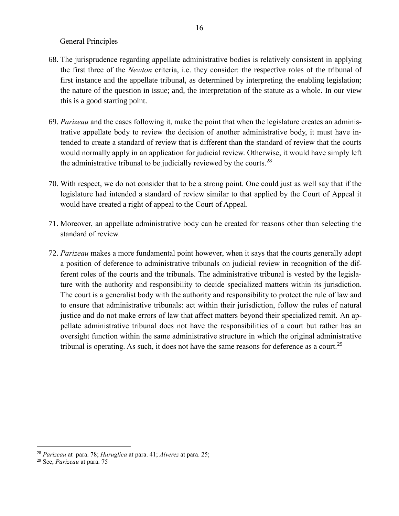#### General Principles

- 68. The jurisprudence regarding appellate administrative bodies is relatively consistent in applying the first three of the *Newton* criteria, i.e. they consider: the respective roles of the tribunal of first instance and the appellate tribunal, as determined by interpreting the enabling legislation; the nature of the question in issue; and, the interpretation of the statute as a whole. In our view this is a good starting point.
- 69. *Parizeau* and the cases following it, make the point that when the legislature creates an administrative appellate body to review the decision of another administrative body, it must have intended to create a standard of review that is different than the standard of review that the courts would normally apply in an application for judicial review. Otherwise, it would have simply left the administrative tribunal to be judicially reviewed by the courts.<sup>28</sup>
- 70. With respect, we do not consider that to be a strong point. One could just as well say that if the legislature had intended a standard of review similar to that applied by the Court of Appeal it would have created a right of appeal to the Court of Appeal.
- 71. Moreover, an appellate administrative body can be created for reasons other than selecting the standard of review.
- 72. *Parizeau* makes a more fundamental point however, when it says that the courts generally adopt a position of deference to administrative tribunals on judicial review in recognition of the different roles of the courts and the tribunals. The administrative tribunal is vested by the legislature with the authority and responsibility to decide specialized matters within its jurisdiction. The court is a generalist body with the authority and responsibility to protect the rule of law and to ensure that administrative tribunals: act within their jurisdiction, follow the rules of natural justice and do not make errors of law that affect matters beyond their specialized remit. An appellate administrative tribunal does not have the responsibilities of a court but rather has an oversight function within the same administrative structure in which the original administrative tribunal is operating. As such, it does not have the same reasons for deference as a court.<sup>29</sup>

<sup>28</sup> *Parizeau* at para. 78; *Huruglica* at para. 41; *Alverez* at para. 25;

<sup>29</sup> See, *Parizeau* at para. 75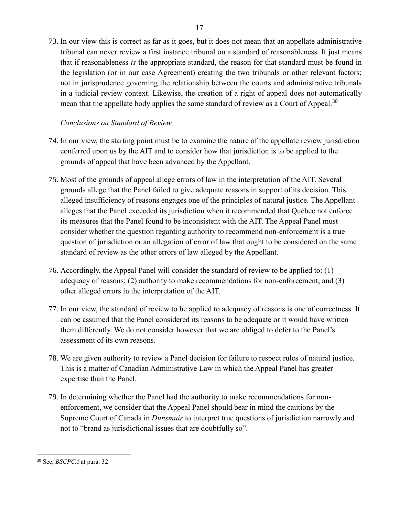73. In our view this is correct as far as it goes, but it does not mean that an appellate administrative tribunal can never review a first instance tribunal on a standard of reasonableness. It just means that if reasonableness *is* the appropriate standard, the reason for that standard must be found in the legislation (or in our case Agreement) creating the two tribunals or other relevant factors; not in jurisprudence governing the relationship between the courts and administrative tribunals in a judicial review context. Likewise, the creation of a right of appeal does not automatically mean that the appellate body applies the same standard of review as a Court of Appeal.<sup>30</sup>

# *Conclusions on Standard of Review*

- 74. In our view, the starting point must be to examine the nature of the appellate review jurisdiction conferred upon us by the AIT and to consider how that jurisdiction is to be applied to the grounds of appeal that have been advanced by the Appellant.
- 75. Most of the grounds of appeal allege errors of law in the interpretation of the AIT. Several grounds allege that the Panel failed to give adequate reasons in support of its decision. This alleged insufficiency of reasons engages one of the principles of natural justice. The Appellant alleges that the Panel exceeded its jurisdiction when it recommended that Québec not enforce its measures that the Panel found to be inconsistent with the AIT. The Appeal Panel must consider whether the question regarding authority to recommend non-enforcement is a true question of jurisdiction or an allegation of error of law that ought to be considered on the same standard of review as the other errors of law alleged by the Appellant.
- 76. Accordingly, the Appeal Panel will consider the standard of review to be applied to: (1) adequacy of reasons; (2) authority to make recommendations for non-enforcement; and (3) other alleged errors in the interpretation of the AIT.
- 77. In our view, the standard of review to be applied to adequacy of reasons is one of correctness. It can be assumed that the Panel considered its reasons to be adequate or it would have written them differently. We do not consider however that we are obliged to defer to the Panel's assessment of its own reasons.
- 78. We are given authority to review a Panel decision for failure to respect rules of natural justice. This is a matter of Canadian Administrative Law in which the Appeal Panel has greater expertise than the Panel.
- 79. In determining whether the Panel had the authority to make recommendations for nonenforcement, we consider that the Appeal Panel should bear in mind the cautions by the Supreme Court of Canada in *Dunsmuir* to interpret true questions of jurisdiction narrowly and not to "brand as jurisdictional issues that are doubtfully so".

<sup>30</sup> See, *BSCPCA* at para. 32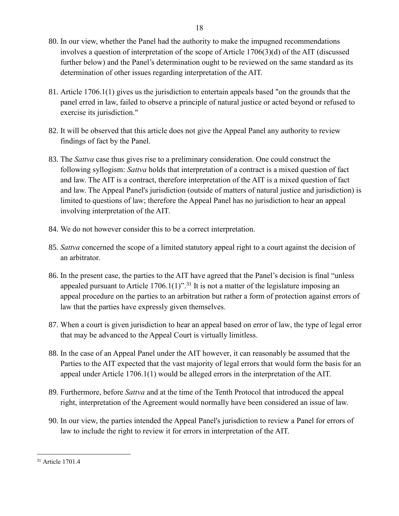- 80. In our view, whether the Panel had the authority to make the impugned recommendations involves a question of interpretation of the scope of Article 1706(3)(d) of the AIT (discussed further below) and the Panel's determination ought to be reviewed on the same standard as its determination of other issues regarding interpretation of the AIT.
- 81. Article 1706.1(1) gives us the jurisdiction to entertain appeals based "on the grounds that the panel erred in law, failed to observe a principle of natural justice or acted beyond or refused to exercise its jurisdiction."
- 82. It will be observed that this article does not give the Appeal Panel any authority to review findings of fact by the Panel.
- 83. The *Sattva* case thus gives rise to a preliminary consideration. One could construct the following syllogism: *Sattva* holds that interpretation of a contract is a mixed question of fact and law. The AIT is a contract, therefore interpretation of the AIT is a mixed question of fact and law. The Appeal Panel's jurisdiction (outside of matters of natural justice and jurisdiction) is limited to questions of law; therefore the Appeal Panel has no jurisdiction to hear an appeal involving interpretation of the AIT.
- 84. We do not however consider this to be a correct interpretation.
- 85. *Sattva* concerned the scope of a limited statutory appeal right to a court against the decision of an arbitrator.
- 86. In the present case, the parties to the AIT have agreed that the Panel's decision is final "unless appealed pursuant to Article  $1706.1(1)$ ".<sup>31</sup> It is not a matter of the legislature imposing an appeal procedure on the parties to an arbitration but rather a form of protection against errors of law that the parties have expressly given themselves.
- 87. When a court is given jurisdiction to hear an appeal based on error of law, the type of legal error that may be advanced to the Appeal Court is virtually limitless.
- 88. In the case of an Appeal Panel under the AIT however, it can reasonably be assumed that the Parties to the AIT expected that the vast majority of legal errors that would form the basis for an appeal under Article 1706.1(1) would be alleged errors in the interpretation of the AIT.
- 89. Furthermore, before *Sattva* and at the time of the Tenth Protocol that introduced the appeal right, interpretation of the Agreement would normally have been considered an issue of law.
- 90. In our view, the parties intended the Appeal Panel's jurisdiction to review a Panel for errors of law to include the right to review it for errors in interpretation of the AIT.

<sup>31</sup> Article 1701.4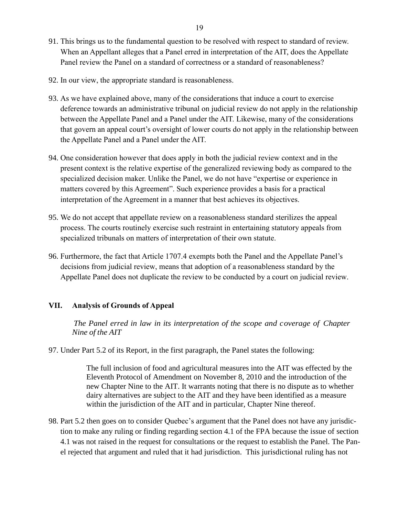- 91. This brings us to the fundamental question to be resolved with respect to standard of review. When an Appellant alleges that a Panel erred in interpretation of the AIT, does the Appellate Panel review the Panel on a standard of correctness or a standard of reasonableness?
- 92. In our view, the appropriate standard is reasonableness.
- 93. As we have explained above, many of the considerations that induce a court to exercise deference towards an administrative tribunal on judicial review do not apply in the relationship between the Appellate Panel and a Panel under the AIT. Likewise, many of the considerations that govern an appeal court's oversight of lower courts do not apply in the relationship between the Appellate Panel and a Panel under the AIT.
- 94. One consideration however that does apply in both the judicial review context and in the present context is the relative expertise of the generalized reviewing body as compared to the specialized decision maker. Unlike the Panel, we do not have "expertise or experience in matters covered by this Agreement". Such experience provides a basis for a practical interpretation of the Agreement in a manner that best achieves its objectives.
- 95. We do not accept that appellate review on a reasonableness standard sterilizes the appeal process. The courts routinely exercise such restraint in entertaining statutory appeals from specialized tribunals on matters of interpretation of their own statute.
- 96. Furthermore, the fact that Article 1707.4 exempts both the Panel and the Appellate Panel's decisions from judicial review, means that adoption of a reasonableness standard by the Appellate Panel does not duplicate the review to be conducted by a court on judicial review.

## **VII. Analysis of Grounds of Appeal**

*The Panel erred in law in its interpretation of the scope and coverage of Chapter Nine of the AIT*

97. Under Part 5.2 of its Report, in the first paragraph, the Panel states the following:

The full inclusion of food and agricultural measures into the AIT was effected by the Eleventh Protocol of Amendment on November 8, 2010 and the introduction of the new Chapter Nine to the AIT. It warrants noting that there is no dispute as to whether dairy alternatives are subject to the AIT and they have been identified as a measure within the jurisdiction of the AIT and in particular, Chapter Nine thereof.

98. Part 5.2 then goes on to consider Quebec's argument that the Panel does not have any jurisdiction to make any ruling or finding regarding section 4.1 of the FPA because the issue of section 4.1 was not raised in the request for consultations or the request to establish the Panel. The Panel rejected that argument and ruled that it had jurisdiction. This jurisdictional ruling has not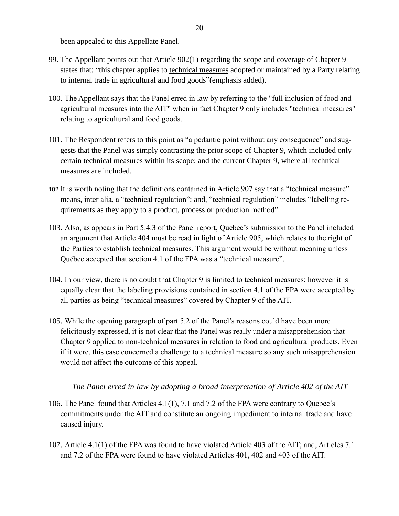been appealed to this Appellate Panel.

- 99. The Appellant points out that Article 902(1) regarding the scope and coverage of Chapter 9 states that: "this chapter applies to technical measures adopted or maintained by a Party relating to internal trade in agricultural and food goods"(emphasis added).
- 100. The Appellant says that the Panel erred in law by referring to the "full inclusion of food and agricultural measures into the AIT" when in fact Chapter 9 only includes "technical measures" relating to agricultural and food goods.
- 101. The Respondent refers to this point as "a pedantic point without any consequence" and suggests that the Panel was simply contrasting the prior scope of Chapter 9, which included only certain technical measures within its scope; and the current Chapter 9, where all technical measures are included.
- 102.It is worth noting that the definitions contained in Article 907 say that a "technical measure" means, inter alia, a "technical regulation"; and, "technical regulation" includes "labelling requirements as they apply to a product, process or production method".
- 103. Also, as appears in Part 5.4.3 of the Panel report, Quebec's submission to the Panel included an argument that Article 404 must be read in light of Article 905, which relates to the right of the Parties to establish technical measures. This argument would be without meaning unless Québec accepted that section 4.1 of the FPA was a "technical measure".
- 104. In our view, there is no doubt that Chapter 9 is limited to technical measures; however it is equally clear that the labeling provisions contained in section 4.1 of the FPA were accepted by all parties as being "technical measures" covered by Chapter 9 of the AIT.
- 105. While the opening paragraph of part 5.2 of the Panel's reasons could have been more felicitously expressed, it is not clear that the Panel was really under a misapprehension that Chapter 9 applied to non-technical measures in relation to food and agricultural products. Even if it were, this case concerned a challenge to a technical measure so any such misapprehension would not affect the outcome of this appeal.

## *The Panel erred in law by adopting a broad interpretation of Article 402 of the AIT*

- 106. The Panel found that Articles 4.1(1), 7.1 and 7.2 of the FPA were contrary to Quebec's commitments under the AIT and constitute an ongoing impediment to internal trade and have caused injury.
- 107. Article 4.1(1) of the FPA was found to have violated Article 403 of the AIT; and, Articles 7.1 and 7.2 of the FPA were found to have violated Articles 401, 402 and 403 of the AIT.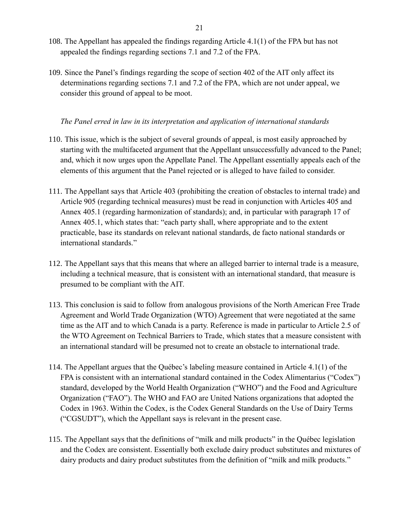- 108. The Appellant has appealed the findings regarding Article 4.1(1) of the FPA but has not appealed the findings regarding sections 7.1 and 7.2 of the FPA.
- 109. Since the Panel's findings regarding the scope of section 402 of the AIT only affect its determinations regarding sections 7.1 and 7.2 of the FPA, which are not under appeal, we consider this ground of appeal to be moot.

## *The Panel erred in law in its interpretation and application of international standards*

- 110. This issue, which is the subject of several grounds of appeal, is most easily approached by starting with the multifaceted argument that the Appellant unsuccessfully advanced to the Panel; and, which it now urges upon the Appellate Panel. The Appellant essentially appeals each of the elements of this argument that the Panel rejected or is alleged to have failed to consider.
- 111. The Appellant says that Article 403 (prohibiting the creation of obstacles to internal trade) and Article 905 (regarding technical measures) must be read in conjunction with Articles 405 and Annex 405.1 (regarding harmonization of standards); and, in particular with paragraph 17 of Annex 405.1, which states that: "each party shall, where appropriate and to the extent practicable, base its standards on relevant national standards, de facto national standards or international standards."
- 112. The Appellant says that this means that where an alleged barrier to internal trade is a measure, including a technical measure, that is consistent with an international standard, that measure is presumed to be compliant with the AIT.
- 113. This conclusion is said to follow from analogous provisions of the North American Free Trade Agreement and World Trade Organization (WTO) Agreement that were negotiated at the same time as the AIT and to which Canada is a party. Reference is made in particular to Article 2.5 of the WTO Agreement on Technical Barriers to Trade, which states that a measure consistent with an international standard will be presumed not to create an obstacle to international trade.
- 114. The Appellant argues that the Québec's labeling measure contained in Article 4.1(1) of the FPA is consistent with an international standard contained in the Codex Alimentarius ("Codex") standard, developed by the World Health Organization ("WHO") and the Food and Agriculture Organization ("FAO"). The WHO and FAO are United Nations organizations that adopted the Codex in 1963. Within the Codex, is the Codex General Standards on the Use of Dairy Terms ("CGSUDT"), which the Appellant says is relevant in the present case.
- 115. The Appellant says that the definitions of "milk and milk products" in the Québec legislation and the Codex are consistent. Essentially both exclude dairy product substitutes and mixtures of dairy products and dairy product substitutes from the definition of "milk and milk products."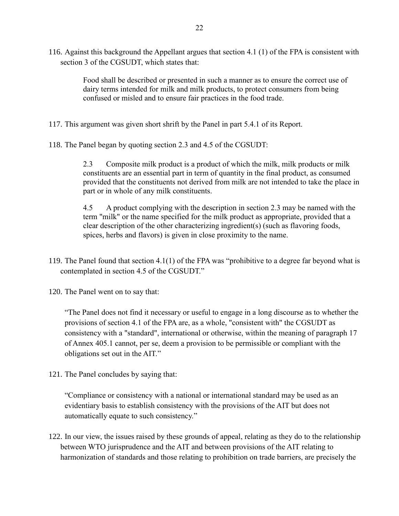116. Against this background the Appellant argues that section 4.1 (1) of the FPA is consistent with section 3 of the CGSUDT, which states that:

> Food shall be described or presented in such a manner as to ensure the correct use of dairy terms intended for milk and milk products, to protect consumers from being confused or misled and to ensure fair practices in the food trade.

117. This argument was given short shrift by the Panel in part 5.4.1 of its Report.

118. The Panel began by quoting section 2.3 and 4.5 of the CGSUDT:

2.3 Composite milk product is a product of which the milk, milk products or milk constituents are an essential part in term of quantity in the final product, as consumed provided that the constituents not derived from milk are not intended to take the place in part or in whole of any milk constituents.

4.5 A product complying with the description in section 2.3 may be named with the term "milk" or the name specified for the milk product as appropriate, provided that a clear description of the other characterizing ingredient(s) (such as flavoring foods, spices, herbs and flavors) is given in close proximity to the name.

119. The Panel found that section 4.1(1) of the FPA was "prohibitive to a degree far beyond what is contemplated in section 4.5 of the CGSUDT."

120. The Panel went on to say that:

"The Panel does not find it necessary or useful to engage in a long discourse as to whether the provisions of section 4.1 of the FPA are, as a whole, "consistent with" the CGSUDT as consistency with a "standard", international or otherwise, within the meaning of paragraph 17 of Annex 405.1 cannot, per se, deem a provision to be permissible or compliant with the obligations set out in the AIT."

121. The Panel concludes by saying that:

"Compliance or consistency with a national or international standard may be used as an evidentiary basis to establish consistency with the provisions of the AIT but does not automatically equate to such consistency."

122. In our view, the issues raised by these grounds of appeal, relating as they do to the relationship between WTO jurisprudence and the AIT and between provisions of the AIT relating to harmonization of standards and those relating to prohibition on trade barriers, are precisely the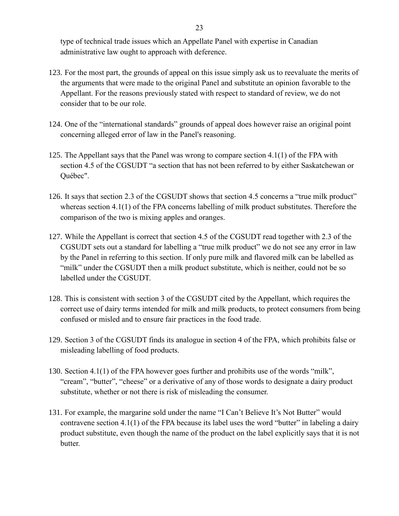type of technical trade issues which an Appellate Panel with expertise in Canadian administrative law ought to approach with deference.

- 123. For the most part, the grounds of appeal on this issue simply ask us to reevaluate the merits of the arguments that were made to the original Panel and substitute an opinion favorable to the Appellant. For the reasons previously stated with respect to standard of review, we do not consider that to be our role.
- 124. One of the "international standards" grounds of appeal does however raise an original point concerning alleged error of law in the Panel's reasoning.
- 125. The Appellant says that the Panel was wrong to compare section 4.1(1) of the FPA with section 4.5 of the CGSUDT "a section that has not been referred to by either Saskatchewan or Québec".
- 126. It says that section 2.3 of the CGSUDT shows that section 4.5 concerns a "true milk product" whereas section 4.1(1) of the FPA concerns labelling of milk product substitutes. Therefore the comparison of the two is mixing apples and oranges.
- 127. While the Appellant is correct that section 4.5 of the CGSUDT read together with 2.3 of the CGSUDT sets out a standard for labelling a "true milk product" we do not see any error in law by the Panel in referring to this section. If only pure milk and flavored milk can be labelled as "milk" under the CGSUDT then a milk product substitute, which is neither, could not be so labelled under the CGSUDT.
- 128. This is consistent with section 3 of the CGSUDT cited by the Appellant, which requires the correct use of dairy terms intended for milk and milk products, to protect consumers from being confused or misled and to ensure fair practices in the food trade.
- 129. Section 3 of the CGSUDT finds its analogue in section 4 of the FPA, which prohibits false or misleading labelling of food products.
- 130. Section 4.1(1) of the FPA however goes further and prohibits use of the words "milk", "cream", "butter", "cheese" or a derivative of any of those words to designate a dairy product substitute, whether or not there is risk of misleading the consumer.
- 131. For example, the margarine sold under the name "I Can't Believe It's Not Butter" would contravene section 4.1(1) of the FPA because its label uses the word "butter" in labeling a dairy product substitute, even though the name of the product on the label explicitly says that it is not butter.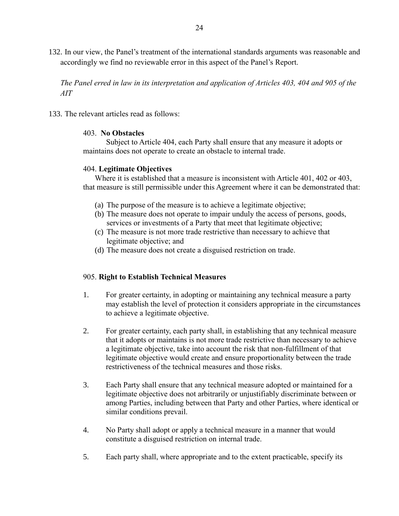132. In our view, the Panel's treatment of the international standards arguments was reasonable and accordingly we find no reviewable error in this aspect of the Panel's Report.

*The Panel erred in law in its interpretation and application of Articles 403, 404 and 905 of the AIT*

133. The relevant articles read as follows:

### 403. **No Obstacles**

Subject to Article 404, each Party shall ensure that any measure it adopts or maintains does not operate to create an obstacle to internal trade.

## 404. **Legitimate Objectives**

Where it is established that a measure is inconsistent with Article 401, 402 or 403, that measure is still permissible under this Agreement where it can be demonstrated that:

- (a) The purpose of the measure is to achieve a legitimate objective;
- (b) The measure does not operate to impair unduly the access of persons, goods, services or investments of a Party that meet that legitimate objective;
- (c) The measure is not more trade restrictive than necessary to achieve that legitimate objective; and
- (d) The measure does not create a disguised restriction on trade.

## 905. **Right to Establish Technical Measures**

- 1. For greater certainty, in adopting or maintaining any technical measure a party may establish the level of protection it considers appropriate in the circumstances to achieve a legitimate objective.
- 2. For greater certainty, each party shall, in establishing that any technical measure that it adopts or maintains is not more trade restrictive than necessary to achieve a legitimate objective, take into account the risk that non-fulfillment of that legitimate objective would create and ensure proportionality between the trade restrictiveness of the technical measures and those risks.
- 3. Each Party shall ensure that any technical measure adopted or maintained for a legitimate objective does not arbitrarily or unjustifiably discriminate between or among Parties, including between that Party and other Parties, where identical or similar conditions prevail.
- 4. No Party shall adopt or apply a technical measure in a manner that would constitute a disguised restriction on internal trade.
- 5. Each party shall, where appropriate and to the extent practicable, specify its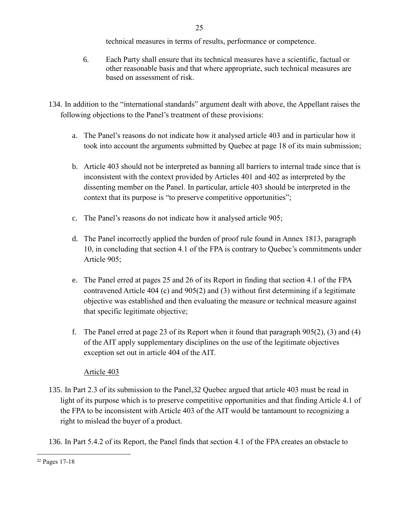technical measures in terms of results, performance or competence.

- 6. Each Party shall ensure that its technical measures have a scientific, factual or other reasonable basis and that where appropriate, such technical measures are based on assessment of risk.
- 134. In addition to the "international standards" argument dealt with above, the Appellant raises the following objections to the Panel's treatment of these provisions:
	- a. The Panel's reasons do not indicate how it analysed article 403 and in particular how it took into account the arguments submitted by Quebec at page 18 of its main submission;
	- b. Article 403 should not be interpreted as banning all barriers to internal trade since that is inconsistent with the context provided by Articles 401 and 402 as interpreted by the dissenting member on the Panel. In particular, article 403 should be interpreted in the context that its purpose is "to preserve competitive opportunities";
	- c. The Panel's reasons do not indicate how it analysed article 905;
	- d. The Panel incorrectly applied the burden of proof rule found in Annex 1813, paragraph 10, in concluding that section 4.1 of the FPA is contrary to Quebec's commitments under Article 905;
	- e. The Panel erred at pages 25 and 26 of its Report in finding that section 4.1 of the FPA contravened Article 404 (c) and 905(2) and (3) without first determining if a legitimate objective was established and then evaluating the measure or technical measure against that specific legitimate objective;
	- f. The Panel erred at page 23 of its Report when it found that paragraph 905(2), (3) and (4) of the AIT apply supplementary disciplines on the use of the legitimate objectives exception set out in article 404 of the AIT.

# Article 403

135. In Part 2.3 of its submission to the Panel,32 Quebec argued that article 403 must be read in light of its purpose which is to preserve competitive opportunities and that finding Article 4.1 of the FPA to be inconsistent with Article 403 of the AIT would be tantamount to recognizing a right to mislead the buyer of a product.

136. In Part 5.4.2 of its Report, the Panel finds that section 4.1 of the FPA creates an obstacle to

<sup>32</sup> Pages 17-18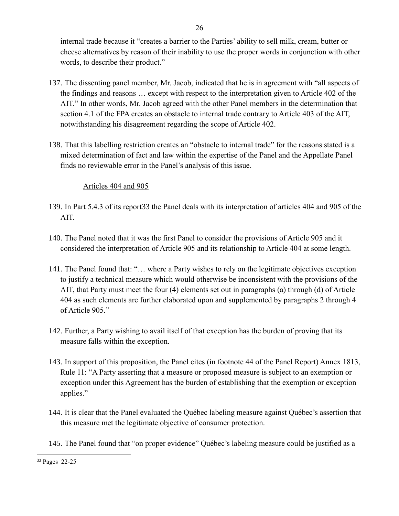internal trade because it "creates a barrier to the Parties' ability to sell milk, cream, butter or cheese alternatives by reason of their inability to use the proper words in conjunction with other words, to describe their product."

26

- 137. The dissenting panel member, Mr. Jacob, indicated that he is in agreement with "all aspects of the findings and reasons … except with respect to the interpretation given to Article 402 of the AIT." In other words, Mr. Jacob agreed with the other Panel members in the determination that section 4.1 of the FPA creates an obstacle to internal trade contrary to Article 403 of the AIT, notwithstanding his disagreement regarding the scope of Article 402.
- 138. That this labelling restriction creates an "obstacle to internal trade" for the reasons stated is a mixed determination of fact and law within the expertise of the Panel and the Appellate Panel finds no reviewable error in the Panel's analysis of this issue.

# Articles 404 and 905

- 139. In Part 5.4.3 of its report33 the Panel deals with its interpretation of articles 404 and 905 of the AIT.
- 140. The Panel noted that it was the first Panel to consider the provisions of Article 905 and it considered the interpretation of Article 905 and its relationship to Article 404 at some length.
- 141. The Panel found that: "… where a Party wishes to rely on the legitimate objectives exception to justify a technical measure which would otherwise be inconsistent with the provisions of the AIT, that Party must meet the four (4) elements set out in paragraphs (a) through (d) of Article 404 as such elements are further elaborated upon and supplemented by paragraphs 2 through 4 of Article 905."
- 142. Further, a Party wishing to avail itself of that exception has the burden of proving that its measure falls within the exception.
- 143. In support of this proposition, the Panel cites (in footnote 44 of the Panel Report) Annex 1813, Rule 11: "A Party asserting that a measure or proposed measure is subject to an exemption or exception under this Agreement has the burden of establishing that the exemption or exception applies."
- 144. It is clear that the Panel evaluated the Québec labeling measure against Québec's assertion that this measure met the legitimate objective of consumer protection.
- 145. The Panel found that "on proper evidence" Québec's labeling measure could be justified as a

 $\overline{a}$ <sup>33</sup> Pages 22-25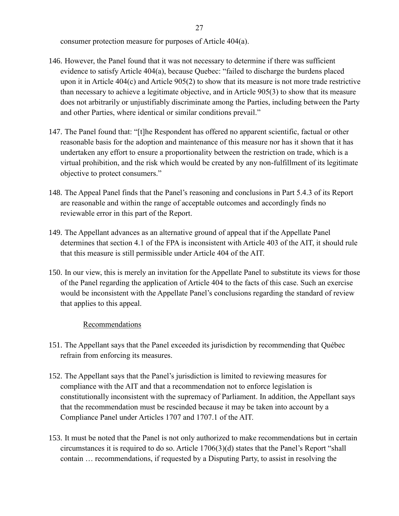consumer protection measure for purposes of Article 404(a).

- 146. However, the Panel found that it was not necessary to determine if there was sufficient evidence to satisfy Article 404(a), because Quebec: "failed to discharge the burdens placed upon it in Article 404(c) and Article 905(2) to show that its measure is not more trade restrictive than necessary to achieve a legitimate objective, and in Article 905(3) to show that its measure does not arbitrarily or unjustifiably discriminate among the Parties, including between the Party and other Parties, where identical or similar conditions prevail."
- 147. The Panel found that: "[t]he Respondent has offered no apparent scientific, factual or other reasonable basis for the adoption and maintenance of this measure nor has it shown that it has undertaken any effort to ensure a proportionality between the restriction on trade, which is a virtual prohibition, and the risk which would be created by any non-fulfillment of its legitimate objective to protect consumers."
- 148. The Appeal Panel finds that the Panel's reasoning and conclusions in Part 5.4.3 of its Report are reasonable and within the range of acceptable outcomes and accordingly finds no reviewable error in this part of the Report.
- 149. The Appellant advances as an alternative ground of appeal that if the Appellate Panel determines that section 4.1 of the FPA is inconsistent with Article 403 of the AIT, it should rule that this measure is still permissible under Article 404 of the AIT.
- 150. In our view, this is merely an invitation for the Appellate Panel to substitute its views for those of the Panel regarding the application of Article 404 to the facts of this case. Such an exercise would be inconsistent with the Appellate Panel's conclusions regarding the standard of review that applies to this appeal.

## **Recommendations**

- 151. The Appellant says that the Panel exceeded its jurisdiction by recommending that Québec refrain from enforcing its measures.
- 152. The Appellant says that the Panel's jurisdiction is limited to reviewing measures for compliance with the AIT and that a recommendation not to enforce legislation is constitutionally inconsistent with the supremacy of Parliament. In addition, the Appellant says that the recommendation must be rescinded because it may be taken into account by a Compliance Panel under Articles 1707 and 1707.1 of the AIT.
- 153. It must be noted that the Panel is not only authorized to make recommendations but in certain circumstances it is required to do so. Article 1706(3)(d) states that the Panel's Report "shall contain … recommendations, if requested by a Disputing Party, to assist in resolving the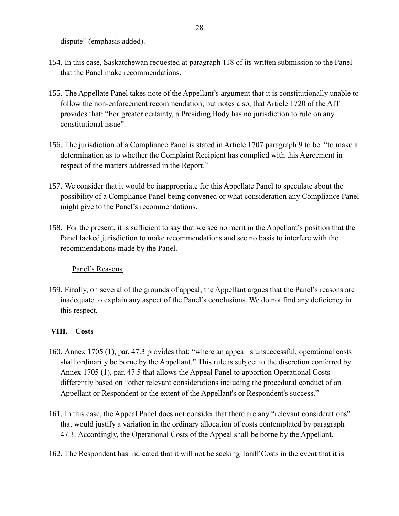dispute" (emphasis added).

- 154. In this case, Saskatchewan requested at paragraph 118 of its written submission to the Panel that the Panel make recommendations.
- 155. The Appellate Panel takes note of the Appellant's argument that it is constitutionally unable to follow the non-enforcement recommendation; but notes also, that Article 1720 of the AIT provides that: "For greater certainty, a Presiding Body has no jurisdiction to rule on any constitutional issue".
- 156. The jurisdiction of a Compliance Panel is stated in Article 1707 paragraph 9 to be: "to make a determination as to whether the Complaint Recipient has complied with this Agreement in respect of the matters addressed in the Report."
- 157. We consider that it would be inappropriate for this Appellate Panel to speculate about the possibility of a Compliance Panel being convened or what consideration any Compliance Panel might give to the Panel's recommendations.
- 158. For the present, it is sufficient to say that we see no merit in the Appellant's position that the Panel lacked jurisdiction to make recommendations and see no basis to interfere with the recommendations made by the Panel.

## Panel's Reasons

159. Finally, on several of the grounds of appeal, the Appellant argues that the Panel's reasons are inadequate to explain any aspect of the Panel's conclusions. We do not find any deficiency in this respect.

# **VIII. Costs**

- 160. Annex 1705 (1), par. 47.3 provides that: "where an appeal is unsuccessful, operational costs shall ordinarily be borne by the Appellant." This rule is subject to the discretion conferred by Annex 1705 (1), par. 47.5 that allows the Appeal Panel to apportion Operational Costs differently based on "other relevant considerations including the procedural conduct of an Appellant or Respondent or the extent of the Appellant's or Respondent's success."
- 161. In this case, the Appeal Panel does not consider that there are any "relevant considerations" that would justify a variation in the ordinary allocation of costs contemplated by paragraph 47.3. Accordingly, the Operational Costs of the Appeal shall be borne by the Appellant.
- 162. The Respondent has indicated that it will not be seeking Tariff Costs in the event that it is